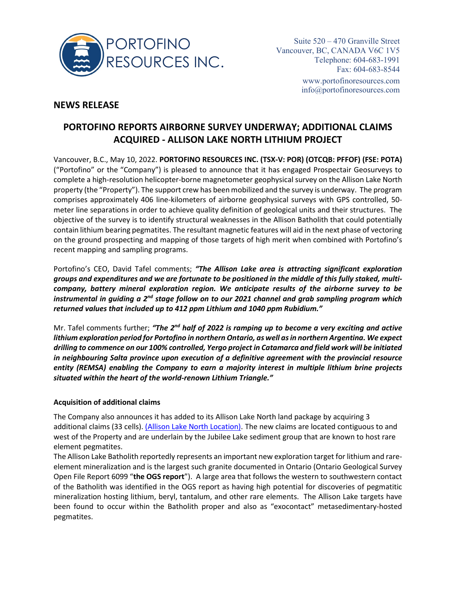

## **NEWS RELEASE**

# **PORTOFINO REPORTS AIRBORNE SURVEY UNDERWAY; ADDITIONAL CLAIMS ACQUIRED - ALLISON LAKE NORTH LITHIUM PROJECT**

Vancouver, B.C., May 10, 2022. **PORTOFINO RESOURCES INC. (TSX-V: POR) (OTCQB: PFFOF) (FSE: POTA)** ("Portofino" or the "Company") is pleased to announce that it has engaged Prospectair Geosurveys to complete a high-resolution helicopter-borne magnetometer geophysical survey on the Allison Lake North property (the "Property"). The support crew has been mobilized and the survey is underway. The program comprises approximately 406 line-kilometers of airborne geophysical surveys with GPS controlled, 50 meter line separations in order to achieve quality definition of geological units and their structures. The objective of the survey is to identify structural weaknesses in the Allison Batholith that could potentially contain lithium bearing pegmatites. The resultant magnetic features will aid in the next phase of vectoring on the ground prospecting and mapping of those targets of high merit when combined with Portofino's recent mapping and sampling programs.

Portofino's CEO, David Tafel comments; *"The Allison Lake area is attracting significant exploration groups and expenditures and we are fortunate to be positioned in the middle of this fully staked, multicompany, battery mineral exploration region. We anticipate results of the airborne survey to be instrumental in guiding a 2nd stage follow on to our 2021 channel and grab sampling program which returned values that included up to 412 ppm Lithium and 1040 ppm Rubidium."* 

Mr. Tafel comments further; *"The 2nd half of 2022 is ramping up to become a very exciting and active lithium exploration period for Portofino in northern Ontario, as well as in northern Argentina. We expect drilling to commence on our 100% controlled, Yergo project in Catamarca and field work will be initiated in neighbouring Salta province upon execution of a definitive agreement with the provincial resource entity (REMSA) enabling the Company to earn a majority interest in multiple lithium brine projects situated within the heart of the world-renown Lithium Triangle."* 

### **Acquisition of additional claims**

The Company also announces it has added to its Allison Lake North land package by acquiring 3 additional claims (33 cells). [\(Allison Lake North Location\).](https://portofinoresources.com/gallery/allison-lake-north-property-1/) The new claims are located contiguous to and west of the Property and are underlain by the Jubilee Lake sediment group that are known to host rare element pegmatites.

The Allison Lake Batholith reportedly represents an important new exploration target for lithium and rareelement mineralization and is the largest such granite documented in Ontario (Ontario Geological Survey Open File Report 6099 "**the OGS report**"). A large area that follows the western to southwestern contact of the Batholith was identified in the OGS report as having high potential for discoveries of pegmatitic mineralization hosting lithium, beryl, tantalum, and other rare elements. The Allison Lake targets have been found to occur within the Batholith proper and also as "exocontact" metasedimentary-hosted pegmatites.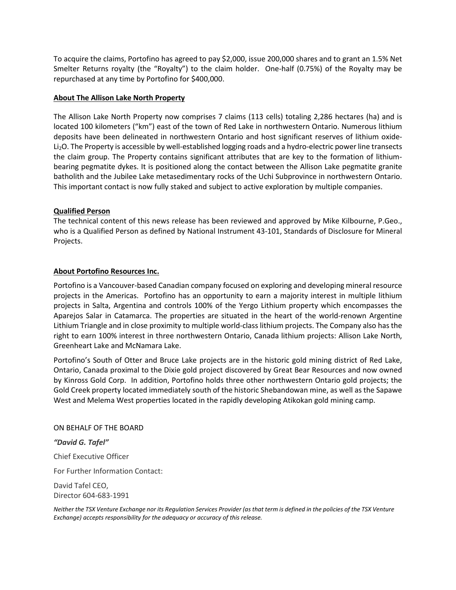To acquire the claims, Portofino has agreed to pay \$2,000, issue 200,000 shares and to grant an 1.5% Net Smelter Returns royalty (the "Royalty") to the claim holder. One-half (0.75%) of the Royalty may be repurchased at any time by Portofino for \$400,000.

#### **About The Allison Lake North Property**

The Allison Lake North Property now comprises 7 claims (113 cells) totaling 2,286 hectares (ha) and is located 100 kilometers ("km") east of the town of Red Lake in northwestern Ontario. Numerous lithium deposits have been delineated in northwestern Ontario and host significant reserves of lithium oxide-Li2O. The Property is accessible by well-established logging roads and a hydro-electric power line transects the claim group. The Property contains significant attributes that are key to the formation of lithiumbearing pegmatite dykes. It is positioned along the contact between the Allison Lake pegmatite granite batholith and the Jubilee Lake metasedimentary rocks of the Uchi Subprovince in northwestern Ontario. This important contact is now fully staked and subject to active exploration by multiple companies.

#### **Qualified Person**

The technical content of this news release has been reviewed and approved by Mike Kilbourne, P.Geo., who is a Qualified Person as defined by National Instrument 43-101, Standards of Disclosure for Mineral Projects.

#### **About Portofino Resources Inc.**

Portofino is a Vancouver-based Canadian company focused on exploring and developing mineral resource projects in the Americas. Portofino has an opportunity to earn a majority interest in multiple lithium projects in Salta, Argentina and controls 100% of the Yergo Lithium property which encompasses the Aparejos Salar in Catamarca. The properties are situated in the heart of the world-renown Argentine Lithium Triangle and in close proximity to multiple world-class lithium projects. The Company also has the right to earn 100% interest in three northwestern Ontario, Canada lithium projects: Allison Lake North, Greenheart Lake and McNamara Lake.

Portofino's South of Otter and Bruce Lake projects are in the historic gold mining district of Red Lake, Ontario, Canada proximal to the Dixie gold project discovered by Great Bear Resources and now owned by Kinross Gold Corp. In addition, Portofino holds three other northwestern Ontario gold projects; the Gold Creek property located immediately south of the historic Shebandowan mine, as well as the Sapawe West and Melema West properties located in the rapidly developing Atikokan gold mining camp.

#### ON BEHALF OF THE BOARD

*"David G. Tafel"*

Chief Executive Officer

For Further Information Contact:

David Tafel CEO, Director 604-683-1991

*Neither the TSX Venture Exchange nor its Regulation Services Provider (as that term is defined in the policies of the TSX Venture Exchange) accepts responsibility for the adequacy or accuracy of this release.*